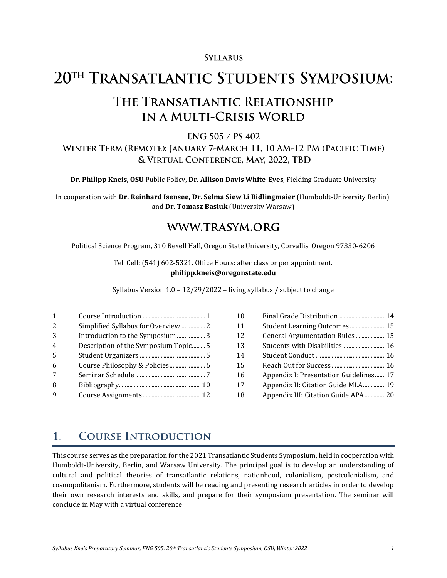## **SYLLABUS**

# 20TH TRANSATLANTIC STUDENTS SYMPOSIUM:

# THE TRANSATLANTIC RELATIONSHIP IN A MULTI-CRISIS WORLD

### ENG 505 / PS 402

## WINTER TERM (REMOTE): JANUARY 7-MARCH 11, 10 AM-12 PM (PACIFIC TIME) & VIRTUAL CONFERENCE, MAY, 2022, TBD

**Dr. Philipp Kneis**, **OSU** Public Policy, **Dr. Allison Davis White-Eyes**, Fielding Graduate University

In cooperation with **Dr. Reinhard Isensee, Dr. Selma Siew Li Bidlingmaier** (Humboldt-University Berlin), and **Dr. Tomasz Basiuk** (University Warsaw)

## WWW.TRASYM.ORG

Political Science Program, 310 Bexell Hall, Oregon State University, Corvallis, Oregon 97330-6206

Tel. Cell: (541) 602-5321. Office Hours: after class or per appointment. **philipp.kneis@oregonstate.edu**

Syllabus Version 1.0 – 12/29/2022 – living syllabus / subject to change

| 1.               |                                     |
|------------------|-------------------------------------|
| 2.               | Simplified Syllabus for Overview 2  |
| 3.               | Introduction to the Symposium 3     |
| $\overline{4}$ . | Description of the Symposium Topic5 |
| 5.               |                                     |
| 6.               |                                     |
| 7.               |                                     |
| 8.               |                                     |
| 9                |                                     |

| 10. | Final Grade Distribution  14          |  |
|-----|---------------------------------------|--|
| 11. |                                       |  |
| 12. | General Argumentation Rules15         |  |
| 13. | Students with Disabilities 16         |  |
| 14. |                                       |  |
| 15. |                                       |  |
| 16. | Appendix I: Presentation Guidelines17 |  |
| 17. | Appendix II: Citation Guide MLA19     |  |
| 18. | Appendix III: Citation Guide APA20    |  |
|     |                                       |  |

#### <span id="page-0-0"></span>**COURSE INTRODUCTION**  $\mathbf{1}$ .

This course serves as the preparation for the 2021 Transatlantic Students Symposium, held in cooperation with Humboldt-University, Berlin, and Warsaw University. The principal goal is to develop an understanding of cultural and political theories of transatlantic relations, nationhood, colonialism, postcolonialism, and cosmopolitanism. Furthermore, students will be reading and presenting research articles in order to develop their own research interests and skills, and prepare for their symposium presentation. The seminar will conclude in May with a virtual conference.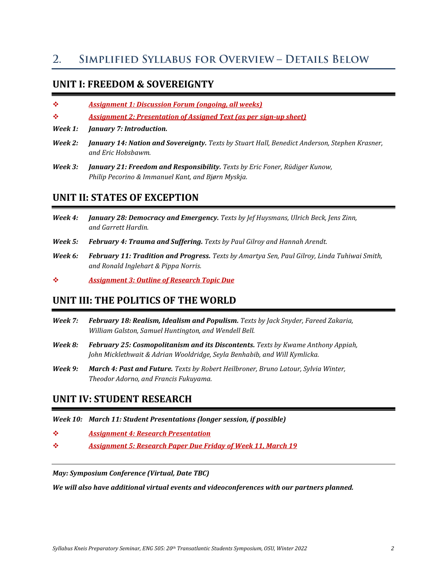#### <span id="page-1-0"></span>**SIMPLIFIED SYLLABUS FOR OVERVIEW - DETAILS BELOW**  $2_{\cdot}$

## **UNIT I: FREEDOM & SOVEREIGNTY**

- ❖ *Assignment 1: Discussion Forum (ongoing, all weeks)*
- ❖ *Assignment 2: Presentation of Assigned Text (as per sign-up sheet)*
- *Week 1: January 7: Introduction.*
- *Week 2: January 14: Nation and Sovereignty. Texts by Stuart Hall, Benedict Anderson, Stephen Krasner, and Eric Hobsbawm.*
- *Week 3: January 21: Freedom and Responsibility. Texts by Eric Foner, Rüdiger Kunow, Philip Pecorino & Immanuel Kant, and Bjørn Myskja.*

## **UNIT II: STATES OF EXCEPTION**

- *Week 4: January 28: Democracy and Emergency. Texts by Jef Huysmans, Ulrich Beck, Jens Zinn, and Garrett Hardin.*
- *Week 5: February 4: Trauma and Suffering. Texts by Paul Gilroy and Hannah Arendt.*
- *Week 6: February 11: Tradition and Progress. Texts by Amartya Sen, Paul Gilroy, Linda Tuhiwai Smith, and Ronald Inglehart & Pippa Norris.*

❖ *Assignment 3: Outline of Research Topic Due*

## **UNIT III: THE POLITICS OF THE WORLD**

- *Week 7: February 18: Realism, Idealism and Populism. Texts by Jack Snyder, Fareed Zakaria, William Galston, Samuel Huntington, and Wendell Bell.*
- *Week 8: February 25: Cosmopolitanism and its Discontents. Texts by Kwame Anthony Appiah, John Micklethwait & Adrian Wooldridge, Seyla Benhabib, and Will Kymlicka.*
- *Week 9: March 4: Past and Future. Texts by Robert Heilbroner, Bruno Latour, Sylvia Winter, Theodor Adorno, and Francis Fukuyama.*

## **UNIT IV: STUDENT RESEARCH**

*Week 10: March 11: Student Presentations (longer session, if possible)*

- ❖ *Assignment 4: Research Presentation*
- ❖ *Assignment 5: Research Paper Due Friday of Week 11, March 19*

*May: Symposium Conference (Virtual, Date TBC)*

*We will also have additional virtual events and videoconferences with our partners planned.*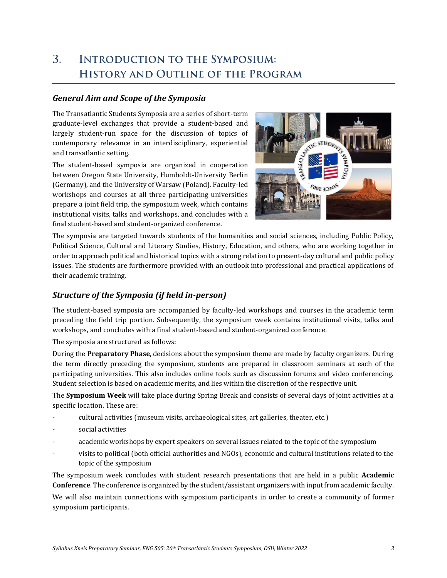### <span id="page-2-0"></span> $\overline{3}$ . **INTRODUCTION TO THE SYMPOSIUM:** HISTORY AND OUTLINE OF THE PROGRAM

## *General Aim and Scope of the Symposia*

The Transatlantic Students Symposia are a series of short-term graduate-level exchanges that provide a student-based and largely student-run space for the discussion of topics of contemporary relevance in an interdisciplinary, experiential and transatlantic setting.

The student-based symposia are organized in cooperation between Oregon State University, Humboldt-University Berlin (Germany), and the University of Warsaw (Poland). Faculty-led workshops and courses at all three participating universities prepare a joint field trip, the symposium week, which contains institutional visits, talks and workshops, and concludes with a final student-based and student-organized conference.



The symposia are targeted towards students of the humanities and social sciences, including Public Policy, Political Science, Cultural and Literary Studies, History, Education, and others, who are working together in order to approach political and historical topics with a strong relation to present-day cultural and public policy issues. The students are furthermore provided with an outlook into professional and practical applications of their academic training.

## *Structure of the Symposia (if held in-person)*

The student-based symposia are accompanied by faculty-led workshops and courses in the academic term preceding the field trip portion. Subsequently, the symposium week contains institutional visits, talks and workshops, and concludes with a final student-based and student-organized conference.

The symposia are structured as follows:

During the **Preparatory Phase**, decisions about the symposium theme are made by faculty organizers. During the term directly preceding the symposium, students are prepared in classroom seminars at each of the participating universities. This also includes online tools such as discussion forums and video conferencing. Student selection is based on academic merits, and lies within the discretion of the respective unit.

The **Symposium Week** will take place during Spring Break and consists of several days of joint activities at a specific location. These are:

- cultural activities (museum visits, archaeological sites, art galleries, theater, etc.)
- social activities
- academic workshops by expert speakers on several issues related to the topic of the symposium
- visits to political (both official authorities and NGOs), economic and cultural institutions related to the topic of the symposium

The symposium week concludes with student research presentations that are held in a public **Academic Conference**. The conference is organized by the student/assistant organizers with input from academic faculty.

We will also maintain connections with symposium participants in order to create a community of former symposium participants.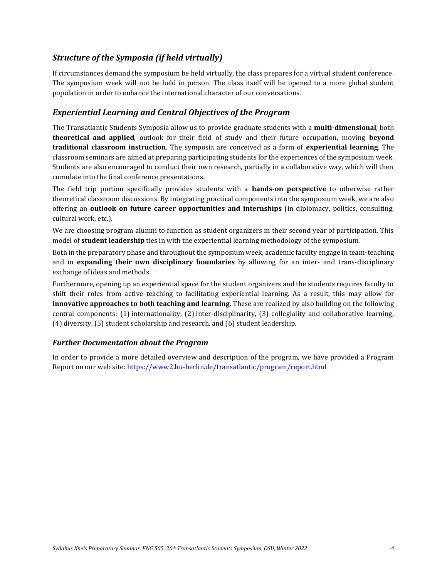## *Structure of the Symposia (if held virtually)*

If circumstances demand the symposium be held virtually, the class prepares for a virtual student conference. The symposium week will not be held in person. The class itself will be opened to a more global student population in order to enhance the international character of our conversations.

## *Experiential Learning and Central Objectives of the Program*

The Transatlantic Students Symposia allow us to provide graduate students with a **multi-dimensional**, both **theoretical and applied**, outlook for their field of study and their future occupation, moving **beyond traditional classroom instruction**. The symposia are conceived as a form of **experiential learning**. The classroom seminars are aimed at preparing participating students for the experiences of the symposium week. Students are also encouraged to conduct their own research, partially in a collaborative way, which will then cumulate into the final conference presentations.

The field trip portion specifically provides students with a **hands-on perspective** to otherwise rather theoretical classroom discussions. By integrating practical components into the symposium week, we are also offering an **outlook on future career opportunities and internships** (in diplomacy, politics, consulting, cultural work, etc.).

We are choosing program alumni to function as student organizers in their second year of participation. This model of **student leadership** ties in with the experiential learning methodology of the symposium.

Both in the preparatory phase and throughout the symposium week, academic faculty engage in team-teaching and in **expanding their own disciplinary boundaries** by allowing for an inter- and trans-disciplinary exchange of ideas and methods.

Furthermore, opening up an experiential space for the student organizers and the students requires faculty to shift their roles from active teaching to facilitating experiential learning. As a result, this may allow for **innovative approaches to both teaching and learning**. These are realized by also building on the following central components: (1) internationality, (2) inter-disciplinarity, (3) collegiality and collaborative learning, (4) diversity, (5) student scholarship and research, and (6) student leadership.

### *Further Documentation about the Program*

<span id="page-3-0"></span>In order to provide a more detailed overview and description of the program, we have provided a Program Report on our web site[: https://www2.hu-berlin.de/transatlantic/program/report.html](https://www2.hu-berlin.de/transatlantic/program/report.html)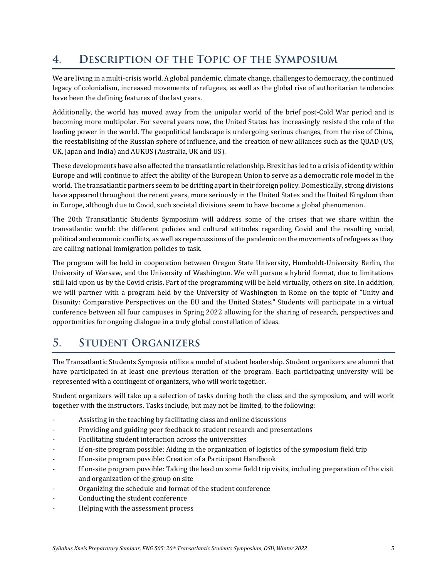#### **DESCRIPTION OF THE TOPIC OF THE SYMPOSIUM**  $\overline{4}$ .

We are living in a multi-crisis world. A global pandemic, climate change, challenges to democracy, the continued legacy of colonialism, increased movements of refugees, as well as the global rise of authoritarian tendencies have been the defining features of the last years.

Additionally, the world has moved away from the unipolar world of the brief post-Cold War period and is becoming more multipolar. For several years now, the United States has increasingly resisted the role of the leading power in the world. The geopolitical landscape is undergoing serious changes, from the rise of China, the reestablishing of the Russian sphere of influence, and the creation of new alliances such as the QUAD (US, UK, Japan and India) and AUKUS (Australia, UK and US).

These developments have also affected the transatlantic relationship. Brexit has led to a crisis of identity within Europe and will continue to affect the ability of the European Union to serve as a democratic role model in the world. The transatlantic partners seem to be drifting apart in their foreign policy. Domestically, strong divisions have appeared throughout the recent years, more seriously in the United States and the United Kingdom than in Europe, although due to Covid, such societal divisions seem to have become a global phenomenon.

The 20th Transatlantic Students Symposium will address some of the crises that we share within the transatlantic world: the different policies and cultural attitudes regarding Covid and the resulting social, political and economic conflicts, as well as repercussions of the pandemic on the movements of refugees as they are calling national immigration policies to task.

The program will be held in cooperation between Oregon State University, Humboldt-University Berlin, the University of Warsaw, and the University of Washington. We will pursue a hybrid format, due to limitations still laid upon us by the Covid crisis. Part of the programming will be held virtually, others on site. In addition, we will partner with a program held by the University of Washington in Rome on the topic of "Unity and Disunity: Comparative Perspectives on the EU and the United States." Students will participate in a virtual conference between all four campuses in Spring 2022 allowing for the sharing of research, perspectives and opportunities for ongoing dialogue in a truly global constellation of ideas.

#### <span id="page-4-0"></span> $5<sub>1</sub>$ **STUDENT ORGANIZERS**

The Transatlantic Students Symposia utilize a model of student leadership. Student organizers are alumni that have participated in at least one previous iteration of the program. Each participating university will be represented with a contingent of organizers, who will work together.

Student organizers will take up a selection of tasks during both the class and the symposium, and will work together with the instructors. Tasks include, but may not be limited, to the following:

- Assisting in the teaching by facilitating class and online discussions
- Providing and guiding peer feedback to student research and presentations
- Facilitating student interaction across the universities
- If on-site program possible: Aiding in the organization of logistics of the symposium field trip
- If on-site program possible: Creation of a Participant Handbook
- If on-site program possible: Taking the lead on some field trip visits, including preparation of the visit and organization of the group on site
- Organizing the schedule and format of the student conference
- Conducting the student conference
- Helping with the assessment process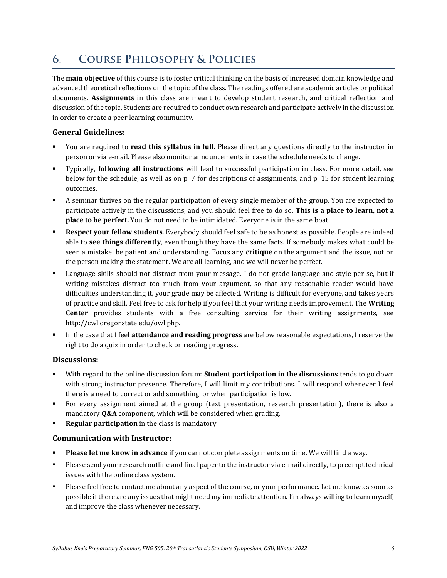#### <span id="page-5-0"></span>**COURSE PHILOSOPHY & POLICIES** 6.

The **main objective** of this course is to foster critical thinking on the basis of increased domain knowledge and advanced theoretical reflections on the topic of the class. The readings offered are academic articles or political documents. **Assignments** in this class are meant to develop student research, and critical reflection and discussion of the topic. Students are required to conduct own research and participate actively in the discussion in order to create a peer learning community.

### **General Guidelines:**

- You are required to **read this syllabus in full**. Please direct any questions directly to the instructor in person or via e-mail. Please also monitor announcements in case the schedule needs to change.
- Typically, **following all instructions** will lead to successful participation in class. For more detail, see below for the schedule, as well as on p. [7](#page-6-1) for descriptions of assignments, and p. [15](#page-14-0) for student learning outcomes.
- A seminar thrives on the regular participation of every single member of the group. You are expected to participate actively in the discussions, and you should feel free to do so. **This is a place to learn, not a place to be perfect.** You do not need to be intimidated. Everyone is in the same boat.
- **Respect your fellow students**. Everybody should feel safe to be as honest as possible. People are indeed able to **see things differently**, even though they have the same facts. If somebody makes what could be seen a mistake, be patient and understanding. Focus any **critique** on the argument and the issue, not on the person making the statement. We are all learning, and we will never be perfect.
- Language skills should not distract from your message. I do not grade language and style per se, but if writing mistakes distract too much from your argument, so that any reasonable reader would have difficulties understanding it, your grade may be affected. Writing is difficult for everyone, and takes years of practice and skill. Feel free to ask for help if you feel that your writing needs improvement. The **Writing Center** provides students with a free consulting service for their writing assignments, see [http://cwl.oregonstate.edu/owl.php.](http://cwl.oregonstate.edu/owl.php)
- In the case that I feel **attendance and reading progress** are below reasonable expectations, I reserve the right to do a quiz in order to check on reading progress.

### **Discussions:**

- With regard to the online discussion forum: **Student participation in the discussions** tends to go down with strong instructor presence. Therefore, I will limit my contributions. I will respond whenever I feel there is a need to correct or add something, or when participation is low.
- For every assignment aimed at the group (text presentation, research presentation), there is also a mandatory **Q&A** component, which will be considered when grading.
- **Regular participation** in the class is mandatory.

### **Communication with Instructor:**

- Please let me know in advance if you cannot complete assignments on time. We will find a way.
- Please send your research outline and final paper to the instructor via e-mail directly, to preempt technical issues with the online class system.
- Please feel free to contact me about any aspect of the course, or your performance. Let me know as soon as possible if there are any issues that might need my immediate attention. I'm always willing to learn myself, and improve the class whenever necessary.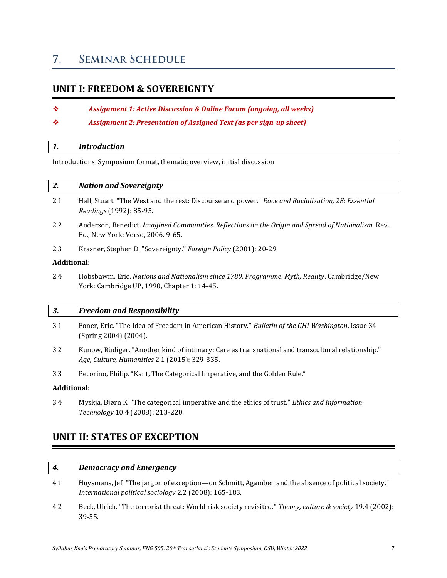#### <span id="page-6-0"></span>**SEMINAR SCHEDULE**  $7.$

## <span id="page-6-1"></span>**UNIT I: FREEDOM & SOVEREIGNTY**

- ❖ *Assignment 1: Active Discussion & Online Forum (ongoing, all weeks)*
- ❖ *Assignment 2: Presentation of Assigned Text (as per sign-up sheet)*

#### *1. Introduction*

Introductions, Symposium format, thematic overview, initial discussion

### *2. Nation and Sovereignty*

- 2.1 Hall, Stuart. "The West and the rest: Discourse and power." *Race and Racialization, 2E: Essential Readings* (1992): 85-95.
- 2.2 Anderson, Benedict. *Imagined Communities. Reflections on the Origin and Spread of Nationalism.* Rev. Ed., New York: Verso, 2006. 9-65.
- 2.3 Krasner, Stephen D. "Sovereignty." *Foreign Policy* (2001): 20-29.

#### **Additional:**

2.4 Hobsbawm, Eric. *Nations and Nationalism since 1780. Programme, Myth, Reality*. Cambridge/New York: Cambridge UP, 1990, Chapter 1: 14-45.

#### *3. Freedom and Responsibility*

- 3.1 Foner, Eric. "The Idea of Freedom in American History." *Bulletin of the GHI Washington*, Issue 34 (Spring 2004) (2004).
- 3.2 Kunow, Rüdiger. "Another kind of intimacy: Care as transnational and transcultural relationship." *Age, Culture, Humanities* 2.1 (2015): 329-335.
- 3.3 Pecorino, Philip. "Kant, The Categorical Imperative, and the Golden Rule."

#### **Additional:**

3.4 Myskja, Bjørn K. "The categorical imperative and the ethics of trust." *Ethics and Information Technology* 10.4 (2008): 213-220.

## **UNIT II: STATES OF EXCEPTION**

### *4. Democracy and Emergency*

- 4.1 Huysmans, Jef. "The jargon of exception—on Schmitt, Agamben and the absence of political society." *International political sociology* 2.2 (2008): 165-183.
- 4.2 Beck, Ulrich. "The terrorist threat: World risk society revisited." *Theory, culture & society* 19.4 (2002): 39-55.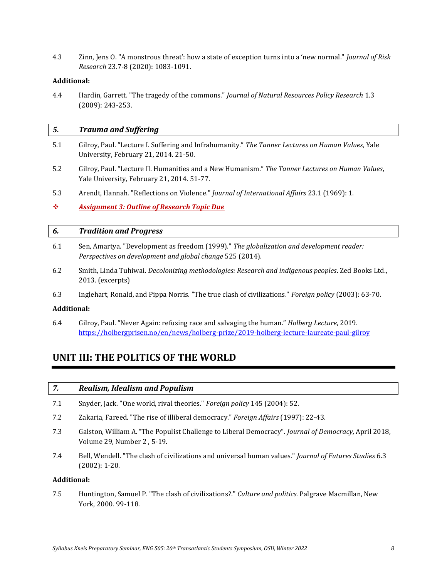4.3 Zinn, Jens O. "A monstrous threat': how a state of exception turns into a 'new normal." *Journal of Risk Research* 23.7-8 (2020): 1083-1091.

#### **Additional:**

4.4 Hardin, Garrett. "The tragedy of the commons." *Journal of Natural Resources Policy Research* 1.3 (2009): 243-253.

| 5.  | <b>Trauma and Suffering</b>                                                                                                                   |
|-----|-----------------------------------------------------------------------------------------------------------------------------------------------|
| 5.1 | Gilroy, Paul. "Lecture I. Suffering and Infrahumanity." The Tanner Lectures on Human Values, Yale<br>University, February 21, 2014. 21-50.    |
| 5.2 | Gilroy, Paul. "Lecture II. Humanities and a New Humanism." The Tanner Lectures on Human Values,<br>Yale University, February 21, 2014. 51-77. |
| 5.3 | Arendt, Hannah. "Reflections on Violence." Journal of International Affairs 23.1 (1969): 1.                                                   |
| 壘   | <b>Assignment 3: Outline of Research Topic Due</b>                                                                                            |
| 6.  | <b>Tradition and Progress</b>                                                                                                                 |
|     |                                                                                                                                               |

- 6.1 Sen, Amartya. "Development as freedom (1999)." *The globalization and development reader: Perspectives on development and global change* 525 (2014).
- 6.2 Smith, Linda Tuhiwai. *Decolonizing methodologies: Research and indigenous peoples*. Zed Books Ltd., 2013. (excerpts)
- 6.3 Inglehart, Ronald, and Pippa Norris. "The true clash of civilizations." *Foreign policy* (2003): 63-70.

#### **Additional:**

6.4 Gilroy, Paul. "Never Again: refusing race and salvaging the human." *Holberg Lecture*, 2019. <https://holbergprisen.no/en/news/holberg-prize/2019-holberg-lecture-laureate-paul-gilroy>

## **UNIT III: THE POLITICS OF THE WORLD**

- 7.1 Snyder, Jack. "One world, rival theories." *Foreign policy* 145 (2004): 52.
- 7.2 Zakaria, Fareed. "The rise of illiberal democracy." *Foreign Affairs* (1997): 22-43.
- 7.3 Galston, William A. "The Populist Challenge to Liberal Democracy". *Journal of Democracy*, April 2018, Volume 29, Number 2 , 5-19.
- 7.4 Bell, Wendell. "The clash of civilizations and universal human values." *Journal of Futures Studies* 6.3 (2002): 1-20.

#### **Additional:**

7.5 Huntington, Samuel P. "The clash of civilizations?." *Culture and politics*. Palgrave Macmillan, New York, 2000. 99-118.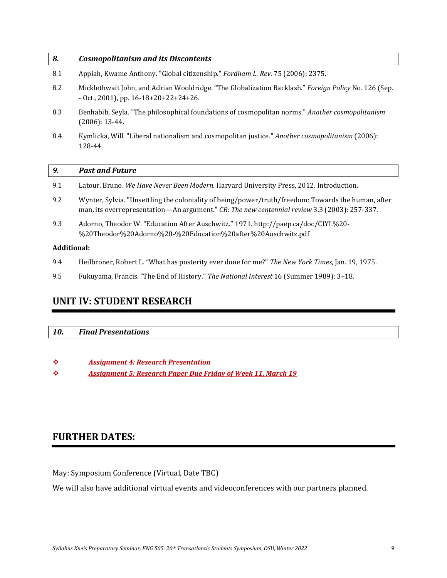| 8.  | <b>Cosmopolitanism and its Discontents</b>                                                                                                                                                         |  |  |  |
|-----|----------------------------------------------------------------------------------------------------------------------------------------------------------------------------------------------------|--|--|--|
| 8.1 | Appiah, Kwame Anthony. "Global citizenship." Fordham L. Rev. 75 (2006): 2375.                                                                                                                      |  |  |  |
| 8.2 | Micklethwait John, and Adrian Wooldridge. "The Globalization Backlash." Foreign Policy No. 126 (Sep.<br>$-$ Oct., 2001), pp. 16-18+20+22+24+26.                                                    |  |  |  |
| 8.3 | Benhabib, Seyla. "The philosophical foundations of cosmopolitan norms." Another cosmopolitanism<br>$(2006): 13-44.$                                                                                |  |  |  |
| 8.4 | Kymlicka, Will. "Liberal nationalism and cosmopolitan justice." Another cosmopolitanism (2006):<br>128-44.                                                                                         |  |  |  |
|     |                                                                                                                                                                                                    |  |  |  |
|     |                                                                                                                                                                                                    |  |  |  |
| 9.  | <b>Past and Future</b>                                                                                                                                                                             |  |  |  |
| 9.1 | Latour, Bruno. We Have Never Been Modern. Harvard University Press, 2012. Introduction.                                                                                                            |  |  |  |
| 9.2 | Wynter, Sylvia. "Unsettling the coloniality of being/power/truth/freedom: Towards the human, after<br>man, its overrepresentation—An argument." CR: The new centennial review 3.3 (2003): 257-337. |  |  |  |
| 9.3 | Adorno, Theodor W. "Education After Auschwitz." 1971. http://paep.ca/doc/CIYL%20-<br>%20Theodor%20Adorno%20-%20Education%20after%20Auschwitz.pdf                                                   |  |  |  |

#### **Additional:**

- 9.4 Heilbroner, Robert L. "What has posterity ever done for me?" *The New York Times*, Jan. 19, 1975.
- 9.5 Fukuyama, Francis. "The End of History." *The National Interest* 16 (Summer 1989): 3–18.

## **UNIT IV: STUDENT RESEARCH**

### *10. Final Presentations*

- ❖ *Assignment 4: Research Presentation*
- ❖ *Assignment 5: Research Paper Due Friday of Week 11, March 19*

## **FURTHER DATES:**

May: Symposium Conference (Virtual, Date TBC)

We will also have additional virtual events and videoconferences with our partners planned.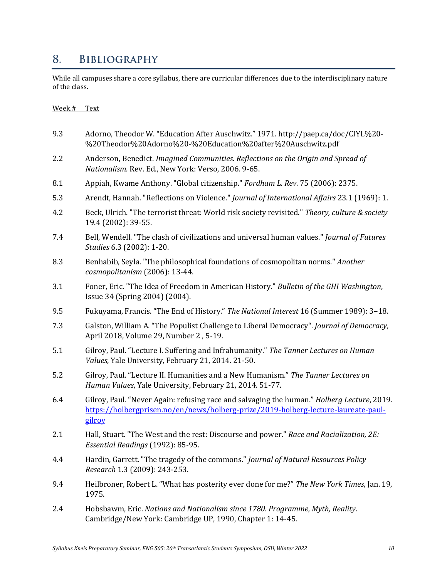#### <span id="page-9-0"></span>8. **BIBLIOGRAPHY**

While all campuses share a core syllabus, there are curricular differences due to the interdisciplinary nature of the class.

#### Week.# Text

- 9.3 Adorno, Theodor W. "Education After Auschwitz." 1971. http://paep.ca/doc/CIYL%20- %20Theodor%20Adorno%20-%20Education%20after%20Auschwitz.pdf
- 2.2 Anderson, Benedict. *Imagined Communities. Reflections on the Origin and Spread of Nationalism.* Rev. Ed., New York: Verso, 2006. 9-65.
- 8.1 Appiah, Kwame Anthony. "Global citizenship." *Fordham L. Rev*. 75 (2006): 2375.
- 5.3 Arendt, Hannah. "Reflections on Violence." *Journal of International Affairs* 23.1 (1969): 1.
- 4.2 Beck, Ulrich. "The terrorist threat: World risk society revisited." *Theory, culture & society* 19.4 (2002): 39-55.
- 7.4 Bell, Wendell. "The clash of civilizations and universal human values." *Journal of Futures Studies* 6.3 (2002): 1-20.
- 8.3 Benhabib, Seyla. "The philosophical foundations of cosmopolitan norms." *Another cosmopolitanism* (2006): 13-44.
- 3.1 Foner, Eric. "The Idea of Freedom in American History." *Bulletin of the GHI Washington*, Issue 34 (Spring 2004) (2004).
- 9.5 Fukuyama, Francis. "The End of History." *The National Interest* 16 (Summer 1989): 3–18.
- 7.3 Galston, William A. "The Populist Challenge to Liberal Democracy". *Journal of Democracy*, April 2018, Volume 29, Number 2 , 5-19.
- 5.1 Gilroy, Paul. "Lecture I. Suffering and Infrahumanity." *The Tanner Lectures on Human Values*, Yale University, February 21, 2014. 21-50.
- 5.2 Gilroy, Paul. "Lecture II. Humanities and a New Humanism." *The Tanner Lectures on Human Values*, Yale University, February 21, 2014. 51-77.
- 6.4 Gilroy, Paul. "Never Again: refusing race and salvaging the human." *Holberg Lecture*, 2019. [https://holbergprisen.no/en/news/holberg-prize/2019-holberg-lecture-laureate-paul](https://holbergprisen.no/en/news/holberg-prize/2019-holberg-lecture-laureate-paul-gilroy)[gilroy](https://holbergprisen.no/en/news/holberg-prize/2019-holberg-lecture-laureate-paul-gilroy)
- 2.1 Hall, Stuart. "The West and the rest: Discourse and power." *Race and Racialization, 2E: Essential Readings* (1992): 85-95.
- 4.4 Hardin, Garrett. "The tragedy of the commons." *Journal of Natural Resources Policy Research* 1.3 (2009): 243-253.
- 9.4 Heilbroner, Robert L. "What has posterity ever done for me?" *The New York Times*, Jan. 19, 1975.
- 2.4 Hobsbawm, Eric. *Nations and Nationalism since 1780. Programme, Myth, Reality*. Cambridge/New York: Cambridge UP, 1990, Chapter 1: 14-45.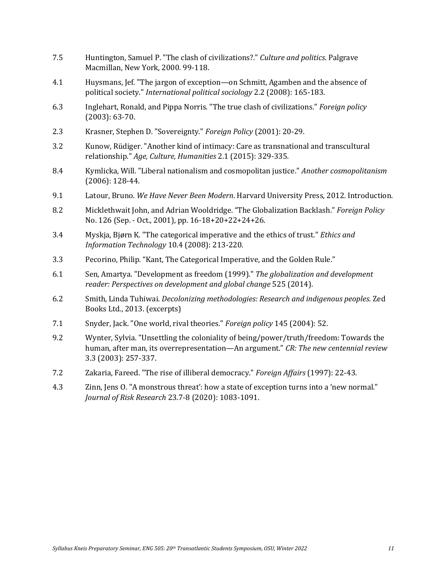- 7.5 Huntington, Samuel P. "The clash of civilizations?." *Culture and politics*. Palgrave Macmillan, New York, 2000. 99-118.
- 4.1 Huysmans, Jef. "The jargon of exception—on Schmitt, Agamben and the absence of political society." *International political sociology* 2.2 (2008): 165-183.
- 6.3 Inglehart, Ronald, and Pippa Norris. "The true clash of civilizations." *Foreign policy* (2003): 63-70.
- 2.3 Krasner, Stephen D. "Sovereignty." *Foreign Policy* (2001): 20-29.
- 3.2 Kunow, Rüdiger. "Another kind of intimacy: Care as transnational and transcultural relationship." *Age, Culture, Humanities* 2.1 (2015): 329-335.
- 8.4 Kymlicka, Will. "Liberal nationalism and cosmopolitan justice." *Another cosmopolitanism* (2006): 128-44.
- 9.1 Latour, Bruno. *We Have Never Been Modern*. Harvard University Press, 2012. Introduction.
- 8.2 Micklethwait John, and Adrian Wooldridge. "The Globalization Backlash." *Foreign Policy* No. 126 (Sep. - Oct., 2001), pp. 16-18+20+22+24+26.
- 3.4 Myskja, Bjørn K. "The categorical imperative and the ethics of trust." *Ethics and Information Technology* 10.4 (2008): 213-220.
- 3.3 Pecorino, Philip. "Kant, The Categorical Imperative, and the Golden Rule."
- 6.1 Sen, Amartya. "Development as freedom (1999)." *The globalization and development reader: Perspectives on development and global change* 525 (2014).
- 6.2 Smith, Linda Tuhiwai. *Decolonizing methodologies: Research and indigenous peoples*. Zed Books Ltd., 2013. (excerpts)
- 7.1 Snyder, Jack. "One world, rival theories." *Foreign policy* 145 (2004): 52.
- 9.2 Wynter, Sylvia. "Unsettling the coloniality of being/power/truth/freedom: Towards the human, after man, its overrepresentation—An argument." *CR: The new centennial review* 3.3 (2003): 257-337.
- 7.2 Zakaria, Fareed. "The rise of illiberal democracy." *Foreign Affairs* (1997): 22-43.
- 4.3 Zinn, Jens O. "A monstrous threat': how a state of exception turns into a 'new normal." *Journal of Risk Research* 23.7-8 (2020): 1083-1091.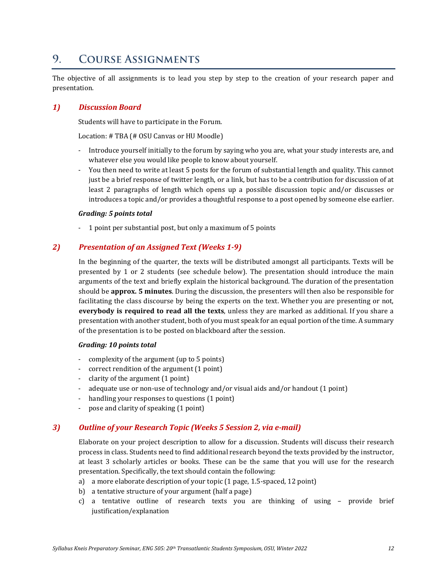#### <span id="page-11-0"></span>**COURSE ASSIGNMENTS** 9.

The objective of all assignments is to lead you step by step to the creation of your research paper and presentation.

#### *1) Discussion Board*

Students will have to participate in the Forum.

Location: # TBA (# OSU Canvas or HU Moodle)

- Introduce yourself initially to the forum by saying who you are, what your study interests are, and whatever else you would like people to know about yourself.
- You then need to write at least 5 posts for the forum of substantial length and quality. This cannot just be a brief response of twitter length, or a link, but has to be a contribution for discussion of at least 2 paragraphs of length which opens up a possible discussion topic and/or discusses or introduces a topic and/or provides a thoughtful response to a post opened by someone else earlier.

#### *Grading: 5 points total*

- 1 point per substantial post, but only a maximum of 5 points

### *2) Presentation of an Assigned Text (Weeks 1-9)*

In the beginning of the quarter, the texts will be distributed amongst all participants. Texts will be presented by 1 or 2 students (see schedule below). The presentation should introduce the main arguments of the text and briefly explain the historical background. The duration of the presentation should be **approx. 5 minutes**. During the discussion, the presenters will then also be responsible for facilitating the class discourse by being the experts on the text. Whether you are presenting or not, **everybody is required to read all the texts**, unless they are marked as additional. If you share a presentation with another student, both of you must speak for an equal portion of the time. A summary of the presentation is to be posted on blackboard after the session.

#### *Grading: 10 points total*

- complexity of the argument (up to 5 points)
- correct rendition of the argument (1 point)
- clarity of the argument (1 point)
- adequate use or non-use of technology and/or visual aids and/or handout (1 point)
- handling your responses to questions (1 point)
- pose and clarity of speaking (1 point)

### *3) Outline of your Research Topic (Weeks 5 Session 2, via e-mail)*

Elaborate on your project description to allow for a discussion. Students will discuss their research process in class. Students need to find additional research beyond the texts provided by the instructor, at least 3 scholarly articles or books. These can be the same that you will use for the research presentation. Specifically, the text should contain the following:

- a) a more elaborate description of your topic (1 page, 1.5-spaced, 12 point)
- b) a tentative structure of your argument (half a page)
- c) a tentative outline of research texts you are thinking of using provide brief justification/explanation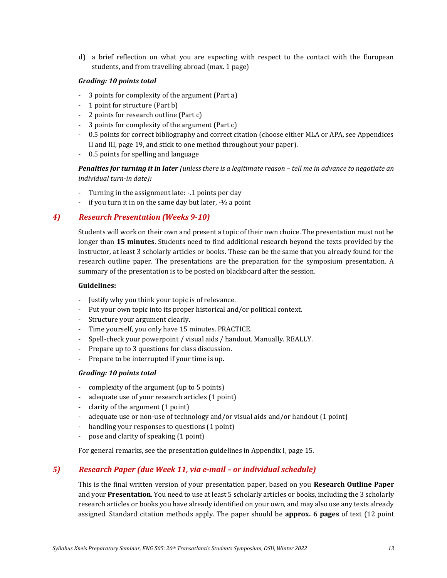d) a brief reflection on what you are expecting with respect to the contact with the European students, and from travelling abroad (max. 1 page)

#### *Grading: 10 points total*

- 3 points for complexity of the argument (Part a)
- 1 point for structure (Part b)
- 2 points for research outline (Part c)
- 3 points for complexity of the argument (Part c)
- 0.5 points for correct bibliography and correct citation (choose either MLA or APA, see Appendices II and III, page [19,](#page-17-0) and stick to one method throughout your paper).
- 0.5 points for spelling and language

*Penalties for turning it in later (unless there is a legitimate reason - tell me in advance to negotiate an individual turn-in date):*

- Turning in the assignment late: -.1 points per day
- if you turn it in on the same day but later,  $-1/2$  a point

### *4) Research Presentation (Weeks 9-10)*

Students will work on their own and present a topic of their own choice. The presentation must not be longer than **15 minutes**. Students need to find additional research beyond the texts provided by the instructor, at least 3 scholarly articles or books. These can be the same that you already found for the research outline paper. The presentations are the preparation for the symposium presentation. A summary of the presentation is to be posted on blackboard after the session.

#### **Guidelines:**

- Justify why you think your topic is of relevance.
- Put your own topic into its proper historical and/or political context.
- Structure your argument clearly.
- Time yourself, you only have 15 minutes. PRACTICE.
- Spell-check your powerpoint / visual aids / handout. Manually. REALLY.
- Prepare up to 3 questions for class discussion.
- Prepare to be interrupted if your time is up.

#### *Grading: 10 points total*

- complexity of the argument (up to 5 points)
- adequate use of your research articles (1 point)
- clarity of the argument (1 point)
- adequate use or non-use of technology and/or visual aids and/or handout (1 point)
- handling your responses to questions (1 point)
- pose and clarity of speaking (1 point)

For general remarks, see the presentation guidelines in Appendix I, pag[e 15.](#page-14-0)

### *5) Research Paper (due Week 11, via e-mail – or individual schedule)*

This is the final written version of your presentation paper, based on you **Research Outline Paper**  and your **Presentation**. You need to use at least 5 scholarly articles or books, including the 3 scholarly research articles or books you have already identified on your own, and may also use any texts already assigned. Standard citation methods apply. The paper should be **approx. 6 pages** of text (12 point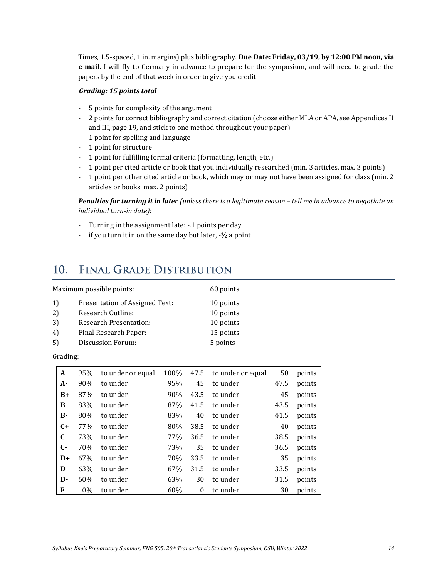Times, 1.5-spaced, 1 in. margins) plus bibliography. **Due Date: Friday, 03/19, by 12:00 PM noon, via e-mail.** I will fly to Germany in advance to prepare for the symposium, and will need to grade the papers by the end of that week in order to give you credit.

#### *Grading: 15 points total*

- 5 points for complexity of the argument
- 2 points for correct bibliography and correct citation (choose either MLA or APA, see Appendices II and III, pag[e 19,](#page-17-0) and stick to one method throughout your paper).
- 1 point for spelling and language
- 1 point for structure
- 1 point for fulfilling formal criteria (formatting, length, etc.)
- 1 point per cited article or book that you individually researched (min. 3 articles, max. 3 points)
- 1 point per other cited article or book, which may or may not have been assigned for class (min. 2 articles or books, max. 2 points)

*Penalties for turning it in later (unless there is a legitimate reason - tell me in advance to negotiate an individual turn-in date):*

- Turning in the assignment late: -.1 points per day
- if you turn it in on the same day but later,  $-1/2$  a point

#### <span id="page-13-0"></span> $10<sub>l</sub>$ **FINAL GRADE DISTRIBUTION**

| Maximum possible points:<br>60 points |                                |           |
|---------------------------------------|--------------------------------|-----------|
| 1)                                    | Presentation of Assigned Text: | 10 points |
| 2)                                    | Research Outline:              | 10 points |
| 3)                                    | <b>Research Presentation:</b>  | 10 points |
| 4                                     | Final Research Paper:          | 15 points |
| 5                                     | Discussion Forum:              | 5 points  |

#### Grading:

| A           | 95% | to under or equal | 100% | 47.5     | to under or equal | 50   | points |
|-------------|-----|-------------------|------|----------|-------------------|------|--------|
| A-          | 90% | to under          | 95%  | 45       | to under          | 47.5 | points |
| $B+$        | 87% | to under          | 90%  | 43.5     | to under          | 45   | points |
| B           | 83% | to under          | 87%  | 41.5     | to under          | 43.5 | points |
| <b>B-</b>   | 80% | to under          | 83%  | 40       | to under          | 41.5 | points |
| $C+$        | 77% | to under          | 80%  | 38.5     | to under          | 40   | points |
| $\mathbf C$ | 73% | to under          | 77%  | 36.5     | to under          | 38.5 | points |
| $C-$        | 70% | to under          | 73%  | 35       | to under          | 36.5 | points |
| $D+$        | 67% | to under          | 70%  | 33.5     | to under          | 35   | points |
| D           | 63% | to under          | 67%  | 31.5     | to under          | 33.5 | points |
| D-          | 60% | to under          | 63%  | 30       | to under          | 31.5 | points |
| F           | 0%  | to under          | 60%  | $\theta$ | to under          | 30   | points |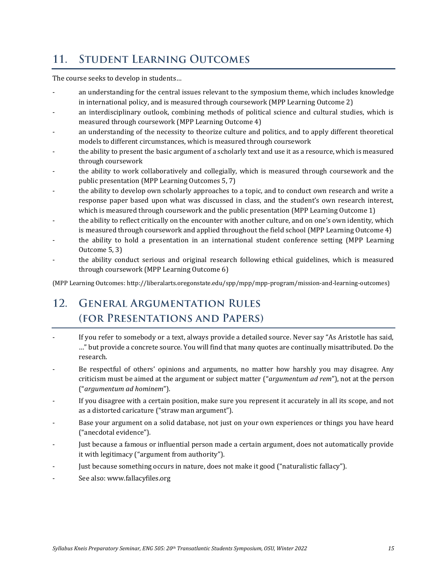#### <span id="page-14-0"></span> $11.$ **STUDENT LEARNING OUTCOMES**

The course seeks to develop in students…

- an understanding for the central issues relevant to the symposium theme, which includes knowledge in international policy, and is measured through coursework (MPP Learning Outcome 2)
- an interdisciplinary outlook, combining methods of political science and cultural studies, which is measured through coursework (MPP Learning Outcome 4)
- an understanding of the necessity to theorize culture and politics, and to apply different theoretical models to different circumstances, which is measured through coursework
- the ability to present the basic argument of a scholarly text and use it as a resource, which is measured through coursework
- the ability to work collaboratively and collegially, which is measured through coursework and the public presentation (MPP Learning Outcomes 5, 7)
- the ability to develop own scholarly approaches to a topic, and to conduct own research and write a response paper based upon what was discussed in class, and the student's own research interest, which is measured through coursework and the public presentation (MPP Learning Outcome 1)
- the ability to reflect critically on the encounter with another culture, and on one's own identity, which is measured through coursework and applied throughout the field school (MPP Learning Outcome 4)
- the ability to hold a presentation in an international student conference setting (MPP Learning Outcome 5, 3)
- the ability conduct serious and original research following ethical guidelines, which is measured through coursework (MPP Learning Outcome 6)

(MPP Learning Outcomes: http://liberalarts.oregonstate.edu/spp/mpp/mpp-program/mission-and-learning-outcomes)

### <span id="page-14-1"></span>12. **GENERAL ARGUMENTATION RULES** (FOR PRESENTATIONS AND PAPERS)

- If you refer to somebody or a text, always provide a detailed source. Never say "As Aristotle has said, …" but provide a concrete source. You will find that many quotes are continually misattributed. Do the research.
- Be respectful of others' opinions and arguments, no matter how harshly you may disagree. Any criticism must be aimed at the argument or subject matter ("*argumentum ad rem*"), not at the person ("*argumentum ad hominem*").
- If you disagree with a certain position, make sure you represent it accurately in all its scope, and not as a distorted caricature ("straw man argument").
- Base your argument on a solid database, not just on your own experiences or things you have heard ("anecdotal evidence").
- Just because a famous or influential person made a certain argument, does not automatically provide it with legitimacy ("argument from authority").
- Just because something occurs in nature, does not make it good ("naturalistic fallacy").
- See also: www.fallacyfiles.org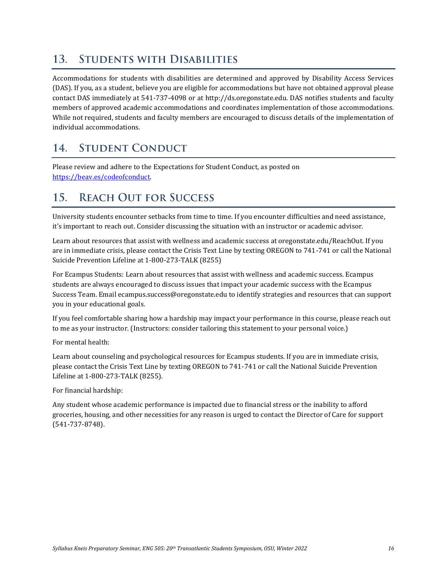#### <span id="page-15-0"></span>13. **STUDENTS WITH DISABILITIES**

Accommodations for students with disabilities are determined and approved by Disability Access Services (DAS). If you, as a student, believe you are eligible for accommodations but have not obtained approval please contact DAS immediately at 541-737-4098 or at http://ds.oregonstate.edu. DAS notifies students and faculty members of approved academic accommodations and coordinates implementation of those accommodations. While not required, students and faculty members are encouraged to discuss details of the implementation of individual accommodations.

#### <span id="page-15-1"></span>**STUDENT CONDUCT** 14.

Please review and adhere to th[e Expectations for Student Conduct,](http://oregonstate.edu/studentconduct/http:/%252Foregonstate.edu/studentconduct/code/index.php) as posted on [https://beav.es/codeofconduct.](https://beav.es/codeofconduct)

#### <span id="page-15-2"></span>**REACH OUT FOR SUCCESS**  $15.$

University students encounter setbacks from time to time. If you encounter difficulties and need assistance, it's important to reach out. Consider discussing the situation with an instructor or academic advisor.

Learn about resources that assist with wellness and academic success at oregonstate.edu/ReachOut. If you are in immediate crisis, please contact the Crisis Text Line by texting OREGON to 741-741 or call the National Suicide Prevention Lifeline at 1-800-273-TALK (8255)

For Ecampus Students: Learn about resources that assist with wellness and academic success. Ecampus students are always encouraged to discuss issues that impact your academic success with the Ecampus Success Team. Email ecampus.success@oregonstate.edu to identify strategies and resources that can support you in your educational goals.

If you feel comfortable sharing how a hardship may impact your performance in this course, please reach out to me as your instructor. (Instructors: consider tailoring this statement to your personal voice.)

For mental health:

Learn about counseling and psychological resources for Ecampus students. If you are in immediate crisis, please contact the Crisis Text Line by texting OREGON to 741-741 or call the National Suicide Prevention Lifeline at 1-800-273-TALK (8255).

For financial hardship:

Any student whose academic performance is impacted due to financial stress or the inability to afford groceries, housing, and other necessities for any reason is urged to contact the Director of Care for support (541-737-8748).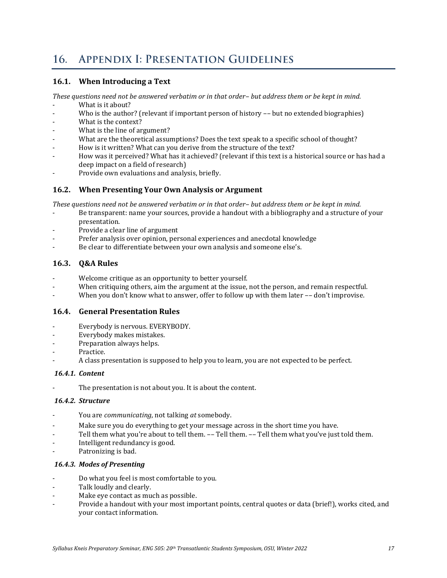#### <span id="page-16-0"></span>**APPENDIX I: PRESENTATION GUIDELINES**  $16.$

### **16.1. When Introducing a Text**

*These questions need not be answered verbatim or in that order– but address them or be kept in mind.*

- What is it about?
- Who is the author? (relevant if important person of history -- but no extended biographies)
- What is the context?
- What is the line of argument?
- What are the theoretical assumptions? Does the text speak to a specific school of thought?
- How is it written? What can you derive from the structure of the text?
- How was it perceived? What has it achieved? (relevant if this text is a historical source or has had a deep impact on a field of research)
- Provide own evaluations and analysis, briefly.

### **16.2. When Presenting Your Own Analysis or Argument**

*These questions need not be answered verbatim or in that order– but address them or be kept in mind.*

- Be transparent: name your sources, provide a handout with a bibliography and a structure of your presentation.
- Provide a clear line of argument
- Prefer analysis over opinion, personal experiences and anecdotal knowledge
- Be clear to differentiate between your own analysis and someone else's.

### **16.3. Q&A Rules**

- Welcome critique as an opportunity to better yourself.
- When critiquing others, aim the argument at the issue, not the person, and remain respectful.
- When you don't know what to answer, offer to follow up with them later -- don't improvise.

### **16.4. General Presentation Rules**

- Everybody is nervous. EVERYBODY.
- Everybody makes mistakes.
- Preparation always helps.
- Practice.
- A class presentation is supposed to help you to learn, you are not expected to be perfect.

#### *16.4.1. Content*

The presentation is not about you. It is about the content.

### *16.4.2. Structure*

- You are *communicating*, not talking *at* somebody.
- Make sure you do everything to get your message across in the short time you have.
- Tell them what you're about to tell them. -- Tell them. -- Tell them what you've just told them.
- Intelligent redundancy is good.
- Patronizing is bad.

### *16.4.3. Modes of Presenting*

- Do what you feel is most comfortable to you.
- Talk loudly and clearly.
- Make eye contact as much as possible.
- Provide a handout with your most important points, central quotes or data (brief!), works cited, and your contact information.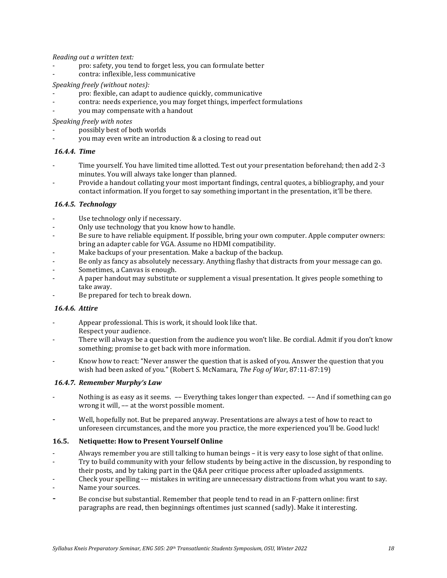*Reading out a written text:*

- pro: safety, you tend to forget less, you can formulate better
- contra: inflexible, less communicative

#### *Speaking freely (without notes):*

- pro: flexible, can adapt to audience quickly, communicative
- contra: needs experience, you may forget things, imperfect formulations
- you may compensate with a handout

*Speaking freely with notes*

- possibly best of both worlds
- you may even write an introduction & a closing to read out

#### *16.4.4. Time*

- Time yourself. You have limited time allotted. Test out your presentation beforehand; then add 2-3 minutes. You will always take longer than planned.
- Provide a handout collating your most important findings, central quotes, a bibliography, and your contact information. If you forget to say something important in the presentation, it'll be there.

#### *16.4.5. Technology*

- Use technology only if necessary.
- Only use technology that you know how to handle.
- Be sure to have reliable equipment. If possible, bring your own computer. Apple computer owners: bring an adapter cable for VGA. Assume no HDMI compatibility.
- Make backups of your presentation. Make a backup of the backup.
- Be only as fancy as absolutely necessary. Anything flashy that distracts from your message can go.
- Sometimes, a Canvas is enough.
- A paper handout may substitute or supplement a visual presentation. It gives people something to take away.
- Be prepared for tech to break down.

#### *16.4.6. Attire*

- Appear professional. This is work, it should look like that. Respect your audience.
- There will always be a question from the audience you won't like. Be cordial. Admit if you don't know something; promise to get back with more information.
- Know how to react: "Never answer the question that is asked of you. Answer the question that you wish had been asked of you." (Robert S. McNamara, *The Fog of War*, 87:11-87:19)

#### *16.4.7. Remember Murphy's Law*

- Nothing is as easy as it seems. -- Everything takes longer than expected. -- And if something can go wrong it will, –– at the worst possible moment.
- Well, hopefully not. But be prepared anyway. Presentations are always a test of how to react to unforeseen circumstances, and the more you practice, the more experienced you'll be. Good luck!

#### **16.5. Netiquette: How to Present Yourself Online**

- Always remember you are still talking to human beings it is very easy to lose sight of that online.
- Try to build community with your fellow students by being active in the discussion, by responding to
- their posts, and by taking part in the Q&A peer critique process after uploaded assignments.
- Check your spelling --- mistakes in writing are unnecessary distractions from what you want to say.
- Name your sources.
- <span id="page-17-0"></span>Be concise but substantial. Remember that people tend to read in an F-pattern online: first paragraphs are read, then beginnings oftentimes just scanned (sadly). Make it interesting.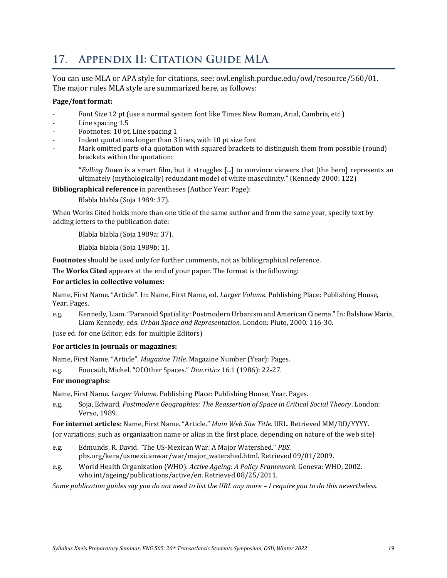#### <span id="page-18-0"></span>**APPENDIX II: CITATION GUIDE MLA**  $17<sub>1</sub>$

You can use MLA or APA style for citations, see: [owl.english.purdue.edu/owl/resource/560/01.](http://owl.english.purdue.edu/owl/resource/560/01) The major rules MLA style are summarized here, as follows:

#### **Page/font format:**

- Font Size 12 pt (use a normal system font like Times New Roman, Arial, Cambria, etc.)
- Line spacing 1.5
- Footnotes: 10 pt, Line spacing 1
- Indent quotations longer than 3 lines, with 10 pt size font
- Mark omitted parts of a quotation with squared brackets to distinguish them from possible (round) brackets within the quotation:

"*Falling Down* is a smart film, but it struggles [...] to convince viewers that [the hero] represents an ultimately (mythologically) redundant model of white masculinity." (Kennedy 2000: 122)

**Bibliographical reference** in parentheses (Author Year: Page):

Blabla blabla (Soja 1989: 37).

When Works Cited holds more than one title of the same author and from the same year, specify text by adding letters to the publication date:

Blabla blabla (Soja 1989a: 37).

Blabla blabla (Soja 1989b: 1).

**Footnotes** should be used only for further comments, not as bibliographical reference.

The **Works Cited** appears at the end of your paper. The format is the following:

#### **For articles in collective volumes:**

Name, First Name. "Article". In: Name, First Name, ed. *Larger Volume*. Publishing Place: Publishing House, Year. Pages.

e.g. Kennedy, Liam. "Paranoid Spatiality: Postmodern Urbanism and American Cinema." In: Balshaw Maria, Liam Kennedy, eds. *Urban Space and Representation.* London: Pluto, 2000. 116-30.

(use ed. for one Editor, eds. for multiple Editors)

#### **For articles in journals or magazines:**

Name, First Name. "Article". *Magazine Title*. Magazine Number (Year): Pages.

e.g. Foucault, Michel. "Of Other Spaces." *Diacritics* 16.1 (1986): 22-27.

### **For monographs:**

Name, First Name. *Larger Volume*. Publishing Place: Publishing House, Year. Pages.

e.g. Soja, Edward. *Postmodern Geographies: The Reassertion of Space in Critical Social Theory*. London: Verso, 1989.

**For internet articles:** Name, First Name. "Article." *Main Web Site Title*. URL. Retrieved MM/DD/YYYY.

(or variations, such as organization name or alias in the first place, depending on nature of the web site)

- e.g. Edmunds, R. David. "The US-Mexican War: A Major Watershed." *PBS.*  pbs.org/kera/usmexicanwar/war/major\_watershed.html. Retrieved 09/01/2009.
- e.g. World Health Organization (WHO). *Active Ageing: A Policy Framework*. Geneva: WHO, 2002. who.int/ageing/publications/active/en. Retrieved 08/25/2011.

*Some publication guides say you do not need to list the URL any more – I require you to do this nevertheless.*